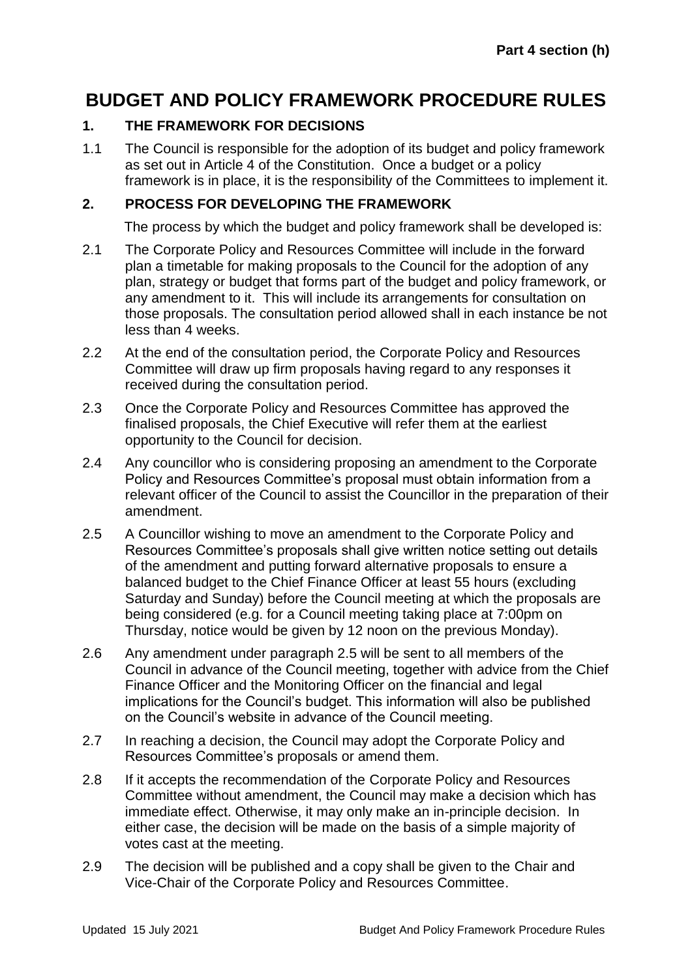# **BUDGET AND POLICY FRAMEWORK PROCEDURE RULES**

### **1. THE FRAMEWORK FOR DECISIONS**

1.1 The Council is responsible for the adoption of its budget and policy framework as set out in Article 4 of the Constitution. Once a budget or a policy framework is in place, it is the responsibility of the Committees to implement it.

#### **2. PROCESS FOR DEVELOPING THE FRAMEWORK**

The process by which the budget and policy framework shall be developed is:

- 2.1 The Corporate Policy and Resources Committee will include in the forward plan a timetable for making proposals to the Council for the adoption of any plan, strategy or budget that forms part of the budget and policy framework, or any amendment to it. This will include its arrangements for consultation on those proposals. The consultation period allowed shall in each instance be not less than 4 weeks.
- 2.2 At the end of the consultation period, the Corporate Policy and Resources Committee will draw up firm proposals having regard to any responses it received during the consultation period.
- 2.3 Once the Corporate Policy and Resources Committee has approved the finalised proposals, the Chief Executive will refer them at the earliest opportunity to the Council for decision.
- 2.4 Any councillor who is considering proposing an amendment to the Corporate Policy and Resources Committee's proposal must obtain information from a relevant officer of the Council to assist the Councillor in the preparation of their amendment.
- 2.5 A Councillor wishing to move an amendment to the Corporate Policy and Resources Committee's proposals shall give written notice setting out details of the amendment and putting forward alternative proposals to ensure a balanced budget to the Chief Finance Officer at least 55 hours (excluding Saturday and Sunday) before the Council meeting at which the proposals are being considered (e.g. for a Council meeting taking place at 7:00pm on Thursday, notice would be given by 12 noon on the previous Monday).
- 2.6 Any amendment under paragraph 2.5 will be sent to all members of the Council in advance of the Council meeting, together with advice from the Chief Finance Officer and the Monitoring Officer on the financial and legal implications for the Council's budget. This information will also be published on the Council's website in advance of the Council meeting.
- 2.7 In reaching a decision, the Council may adopt the Corporate Policy and Resources Committee's proposals or amend them.
- 2.8 If it accepts the recommendation of the Corporate Policy and Resources Committee without amendment, the Council may make a decision which has immediate effect. Otherwise, it may only make an in-principle decision. In either case, the decision will be made on the basis of a simple majority of votes cast at the meeting.
- 2.9 The decision will be published and a copy shall be given to the Chair and Vice-Chair of the Corporate Policy and Resources Committee.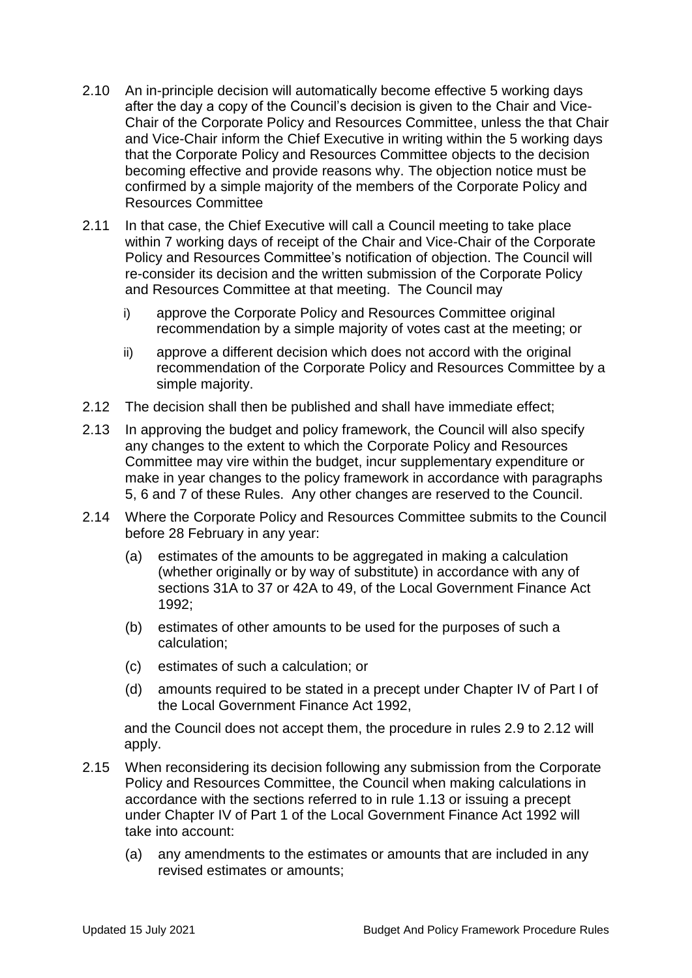- 2.10 An in-principle decision will automatically become effective 5 working days after the day a copy of the Council's decision is given to the Chair and Vice-Chair of the Corporate Policy and Resources Committee, unless the that Chair and Vice-Chair inform the Chief Executive in writing within the 5 working days that the Corporate Policy and Resources Committee objects to the decision becoming effective and provide reasons why. The objection notice must be confirmed by a simple majority of the members of the Corporate Policy and Resources Committee
- 2.11 In that case, the Chief Executive will call a Council meeting to take place within 7 working days of receipt of the Chair and Vice-Chair of the Corporate Policy and Resources Committee's notification of objection. The Council will re-consider its decision and the written submission of the Corporate Policy and Resources Committee at that meeting. The Council may
	- i) approve the Corporate Policy and Resources Committee original recommendation by a simple majority of votes cast at the meeting; or
	- ii) approve a different decision which does not accord with the original recommendation of the Corporate Policy and Resources Committee by a simple majority.
- 2.12 The decision shall then be published and shall have immediate effect;
- 2.13 In approving the budget and policy framework, the Council will also specify any changes to the extent to which the Corporate Policy and Resources Committee may vire within the budget, incur supplementary expenditure or make in year changes to the policy framework in accordance with paragraphs 5, 6 and 7 of these Rules. Any other changes are reserved to the Council.
- 2.14 Where the Corporate Policy and Resources Committee submits to the Council before 28 February in any year:
	- (a) estimates of the amounts to be aggregated in making a calculation (whether originally or by way of substitute) in accordance with any of sections 31A to 37 or 42A to 49, of the Local Government Finance Act 1992;
	- (b) estimates of other amounts to be used for the purposes of such a calculation;
	- (c) estimates of such a calculation; or
	- (d) amounts required to be stated in a precept under Chapter IV of Part I of the Local Government Finance Act 1992,

and the Council does not accept them, the procedure in rules 2.9 to 2.12 will apply.

- 2.15 When reconsidering its decision following any submission from the Corporate Policy and Resources Committee, the Council when making calculations in accordance with the sections referred to in rule 1.13 or issuing a precept under Chapter IV of Part 1 of the Local Government Finance Act 1992 will take into account:
	- (a) any amendments to the estimates or amounts that are included in any revised estimates or amounts;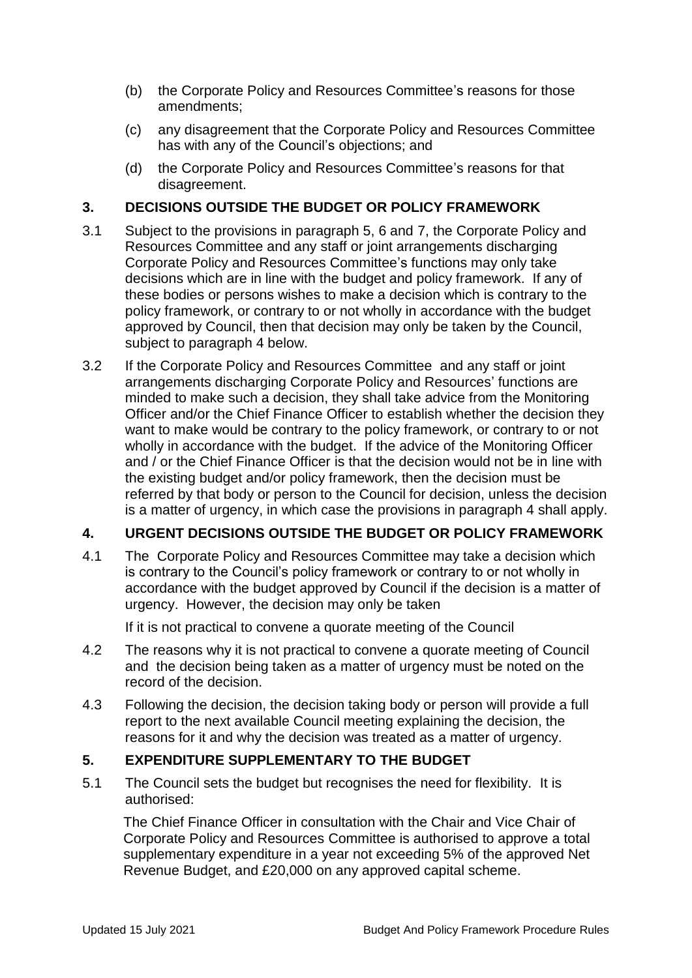- (b) the Corporate Policy and Resources Committee's reasons for those amendments;
- (c) any disagreement that the Corporate Policy and Resources Committee has with any of the Council's objections; and
- (d) the Corporate Policy and Resources Committee's reasons for that disagreement.

### **3. DECISIONS OUTSIDE THE BUDGET OR POLICY FRAMEWORK**

- 3.1 Subject to the provisions in paragraph 5, 6 and 7, the Corporate Policy and Resources Committee and any staff or joint arrangements discharging Corporate Policy and Resources Committee's functions may only take decisions which are in line with the budget and policy framework. If any of these bodies or persons wishes to make a decision which is contrary to the policy framework, or contrary to or not wholly in accordance with the budget approved by Council, then that decision may only be taken by the Council, subject to paragraph 4 below.
- 3.2 If the Corporate Policy and Resources Committee and any staff or joint arrangements discharging Corporate Policy and Resources' functions are minded to make such a decision, they shall take advice from the Monitoring Officer and/or the Chief Finance Officer to establish whether the decision they want to make would be contrary to the policy framework, or contrary to or not wholly in accordance with the budget. If the advice of the Monitoring Officer and / or the Chief Finance Officer is that the decision would not be in line with the existing budget and/or policy framework, then the decision must be referred by that body or person to the Council for decision, unless the decision is a matter of urgency, in which case the provisions in paragraph 4 shall apply.

### **4. URGENT DECISIONS OUTSIDE THE BUDGET OR POLICY FRAMEWORK**

4.1 The Corporate Policy and Resources Committee may take a decision which is contrary to the Council's policy framework or contrary to or not wholly in accordance with the budget approved by Council if the decision is a matter of urgency. However, the decision may only be taken

If it is not practical to convene a quorate meeting of the Council

- 4.2 The reasons why it is not practical to convene a quorate meeting of Council and the decision being taken as a matter of urgency must be noted on the record of the decision.
- 4.3 Following the decision, the decision taking body or person will provide a full report to the next available Council meeting explaining the decision, the reasons for it and why the decision was treated as a matter of urgency.

### **5. EXPENDITURE SUPPLEMENTARY TO THE BUDGET**

5.1 The Council sets the budget but recognises the need for flexibility. It is authorised:

The Chief Finance Officer in consultation with the Chair and Vice Chair of Corporate Policy and Resources Committee is authorised to approve a total supplementary expenditure in a year not exceeding 5% of the approved Net Revenue Budget, and £20,000 on any approved capital scheme.